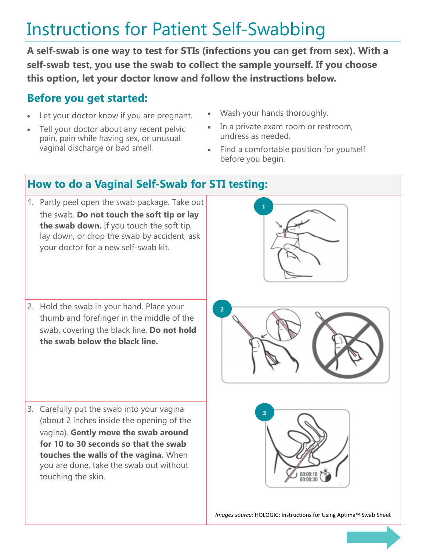## Instructions for Patient Self-Swabbing

**A self-swab is one way to test for STIs (infections you can get from sex). With a self-swab test, you use the swab to collect the sample yourself. If you choose this option, let your doctor know and follow the instructions below.**

## **Before you get started:**

- Let your doctor know if you are pregnant.
- Tell your doctor about any recent pelvic pain, pain while having sex, or unusual vaginal discharge or bad smell.
- Wash your hands thoroughly.
- In a private exam room or restroom, undress as needed.
- Find a comfortable position for yourself before you begin.

## **How to do a Vaginal Self-Swab for STI testing:**

1. Partly peel open the swab package. Take out the swab. **Do not touch the soft tip or lay the swab down.** If you touch the soft tip, lay down, or drop the swab by accident, ask your doctor for a new self-swab kit.



2. Hold the swab in your hand. Place your thumb and forefinger in the middle of the swab, covering the black line. **Do not hold the swab below the black line.** 

**2**

3. Carefully put the swab into your vagina (about 2 inches inside the opening of the vagina). **Gently move the swab around for 10 to 30 seconds so that the swab touches the walls of the vagina.** When you are done, take the swab out without touching the skin.



*Images source:* HOLOGIC: Instructions for Using Aptima™ Swab Sheet